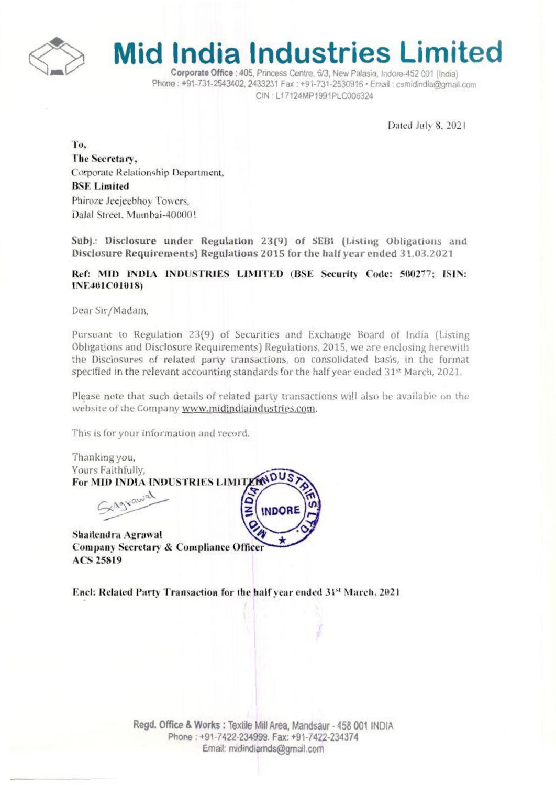

# **Mid India Industries Limited**

Corporate Office : 405. Princess Centre. 6/3. New Palasia, Indore-452 001 (India) Phone: +91-731-2543402, 2433231 Fax: +91-731-2530916 · Email: csmidindia@gmail.com CIN: L17124MP1991PLC006324

Dated July 8, 2021

To. The Secretary, Corporate Relationship Department, **BSE Limited** Phiroze Jeejeebhoy Towers. Dalal Street, Mumbai-400001

Subj.: Disclosure under Regulation 23(9) of SEBI (Listing Obligations and Disclosure Requirements) Regulations 2015 for the half year ended 31.03.2021

#### Ref: MID INDIA INDUSTRIES LIMITED (BSE Security Code: 500277; ISIN: **INE401C01018)**

Dear Sir/Madam,

Pursuant to Regulation 23(9) of Securities and Exchange Board of India (Listing Obligations and Disclosure Requirements) Regulations, 2015, we are enclosing herewith the Disclosures of related party transactions, on consolidated basis, in the format specified in the relevant accounting standards for the half year ended  $31<sup>st</sup>$  March, 2021.

Please note that such details of related party transactions will also be available on the website of the Company www.midindiaindustries.com.

This is for your information and record.

Thanking you, Yours Faithfully, For MID INDIA INDUSTRIES LIMITI XAgrawal **INDORF** Shailendra Agrawal

**Company Secretary & Compliance Officer ACS 25819** 

Encl: Related Party Transaction for the half year ended 31st March, 2021